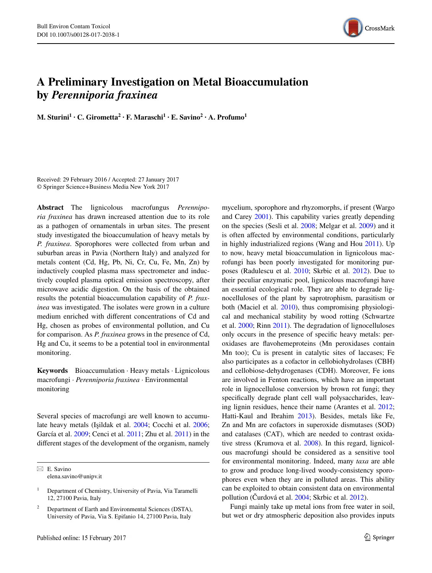

## **A Preliminary Investigation on Metal Bioaccumulation by** *Perenniporia fraxinea*

**M. Sturini1 · C. Girometta<sup>2</sup> · F. Maraschi1 · E. Savino2 · A. Profumo1**

Received: 29 February 2016 / Accepted: 27 January 2017 © Springer Science+Business Media New York 2017

**Abstract** The lignicolous macrofungus *Perenniporia fraxinea* has drawn increased attention due to its role as a pathogen of ornamentals in urban sites. The present study investigated the bioaccumulation of heavy metals by *P. fraxinea*. Sporophores were collected from urban and suburban areas in Pavia (Northern Italy) and analyzed for metals content (Cd, Hg, Pb, Ni, Cr, Cu, Fe, Mn, Zn) by inductively coupled plasma mass spectrometer and inductively coupled plasma optical emission spectroscopy, after microwave acidic digestion. On the basis of the obtained results the potential bioaccumulation capability of *P. fraxinea* was investigated. The isolates were grown in a culture medium enriched with different concentrations of Cd and Hg, chosen as probes of environmental pollution, and Cu for comparison. As *P. fraxinea* grows in the presence of Cd, Hg and Cu, it seems to be a potential tool in environmental monitoring.

**Keywords** Bioaccumulation · Heavy metals · Lignicolous macrofungi · *Perenniporia fraxinea* · Environmental monitoring

Several species of macrofungi are well known to accumulate heavy metals (Işildak et al. [2004](#page-3-8); Cocchi et al. [2006](#page-3-9); García et al. [2009](#page-3-10); Cenci et al. [2011;](#page-3-11) Zhu et al. [2011\)](#page-4-5) in the different stages of the development of the organism, namely

 $\boxtimes$  E. Savino elena.savino@unipv.it mycelium, sporophore and rhyzomorphs, if present (Wargo and Carey [2001](#page-4-0)). This capability varies greatly depending on the species (Sesli et al. [2008;](#page-4-1) Melgar et al. [2009\)](#page-3-0) and it is often affected by environmental conditions, particularly in highly industrialized regions (Wang and Hou [2011](#page-4-2)). Up to now, heavy metal bioaccumulation in lignicolous macrofungi has been poorly investigated for monitoring purposes (Radulescu et al. [2010](#page-3-1); Skrbic et al. [2012](#page-4-3)). Due to their peculiar enzymatic pool, lignicolous macrofungi have an essential ecological role. They are able to degrade lignocelluloses of the plant by saprotrophism, parasitism or both (Maciel et al. [2010](#page-3-2)), thus compromising physiological and mechanical stability by wood rotting (Schwartze et al. [2000](#page-4-4); Rinn [2011](#page-3-3)). The degradation of lignocelluloses only occurs in the presence of specific heavy metals: peroxidases are flavohemeproteins (Mn peroxidases contain Mn too); Cu is present in catalytic sites of laccases; Fe also participates as a cofactor in cellobiohydrolases (CBH) and cellobiose-dehydrogenases (CDH). Moreover, Fe ions are involved in Fenton reactions, which have an important role in lignocellulose conversion by brown rot fungi; they specifically degrade plant cell wall polysaccharides, leaving lignin residues, hence their name (Arantes et al. [2012](#page-3-4); Hatti-Kaul and Ibrahim [2013\)](#page-3-5). Besides, metals like Fe, Zn and Mn are cofactors in superoxide dismutases (SOD) and catalases (CAT), which are needed to contrast oxidative stress (Krumova et al. [2008](#page-3-6)). In this regard, lignicolous macrofungi should be considered as a sensitive tool for environmental monitoring. Indeed, many *taxa* are able to grow and produce long-lived woody-consistency sporophores even when they are in polluted areas. This ability can be exploited to obtain consistent data on environmental pollution (Čurdová et al. [2004](#page-3-7); Skrbic et al. [2012](#page-4-3)).

Fungi mainly take up metal ions from free water in soil, but wet or dry atmospheric deposition also provides inputs

<sup>&</sup>lt;sup>1</sup> Department of Chemistry, University of Pavia, Via Taramelli 12, 27100 Pavia, Italy

Department of Earth and Environmental Sciences (DSTA), University of Pavia, Via S. Epifanio 14, 27100 Pavia, Italy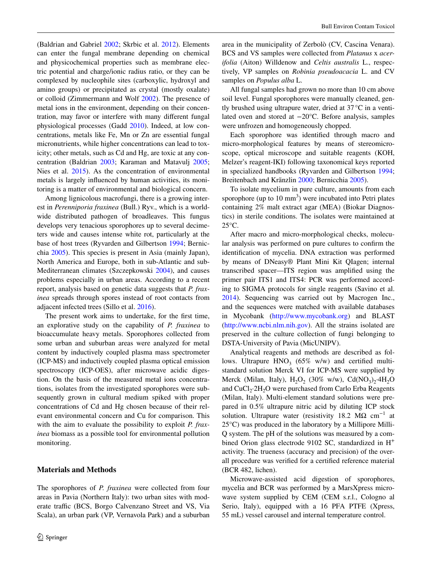(Baldrian and Gabriel [2002;](#page-3-12) Skrbic et al. [2012\)](#page-4-3). Elements can enter the fungal membrane depending on chemical and physicochemical properties such as membrane electric potential and charge/ionic radius ratio, or they can be complexed by nucleophile sites (carboxylic, hydroxyl and amino groups) or precipitated as crystal (mostly oxalate) or colloid (Zimmermann and Wolf [2002](#page-4-6)). The presence of metal ions in the environment, depending on their concentration, may favor or interfere with many different fungal physiological processes (Gadd [2010\)](#page-3-13). Indeed, at low concentrations, metals like Fe, Mn or Zn are essential fungal micronutrients, while higher concentrations can lead to toxicity; other metals, such as Cd and Hg, are toxic at any concentration (Baldrian [2003](#page-3-14); Karaman and Matavulj [2005](#page-3-15); Nies et al. [2015\)](#page-3-16). As the concentration of environmental metals is largely influenced by human activities, its monitoring is a matter of environmental and biological concern.

Among lignicolous macrofungi, there is a growing interest in *Perenniporia fraxinea* (Bull.) Ryv., which is a worldwide distributed pathogen of broadleaves. This fungus develops very tenacious sporophores up to several decimeters wide and causes intense white rot, particularly at the base of host trees (Ryvarden and Gilbertson [1994](#page-4-7); Bernicchia [2005\)](#page-3-17). This species is present in Asia (mainly Japan), North America and Europe, both in sub-Atlantic and sub-Mediterranean climates (Szczepkowski [2004\)](#page-4-8), and causes problems especially in urban areas. According to a recent report, analysis based on genetic data suggests that *P. fraxinea* spreads through spores instead of root contacts from adjacent infected trees (Sillo et al. [2016](#page-4-9)).

The present work aims to undertake, for the first time, an explorative study on the capability of *P. fraxinea* to bioaccumulate heavy metals. Sporophores collected from some urban and suburban areas were analyzed for metal content by inductively coupled plasma mass spectrometer (ICP-MS) and inductively coupled plasma optical emission spectroscopy (ICP-OES), after microwave acidic digestion. On the basis of the measured metal ions concentrations, isolates from the investigated sporophores were subsequently grown in cultural medium spiked with proper concentrations of Cd and Hg chosen because of their relevant environmental concern and Cu for comparison. This with the aim to evaluate the possibility to exploit *P. fraxinea* biomass as a possible tool for environmental pollution monitoring.

## <span id="page-1-0"></span>**Materials and Methods**

The sporophores of *P. fraxinea* were collected from four areas in Pavia (Northern Italy): two urban sites with moderate traffic (BCS, Borgo Calvenzano Street and VS, Via Scala), an urban park (VP, Vernavola Park) and a suburban area in the municipality of Zerbolò (CV, Cascina Venara). BCS and VS samples were collected from *Platanus* x *acerifolia* (Aiton) Willdenow and *Celtis australis* L., respectively, VP samples on *Robinia pseudoacacia* L. and CV samples on *Populus alba* L.

All fungal samples had grown no more than 10 cm above soil level. Fungal sporophores were manually cleaned, gently brushed using ultrapure water, dried at 37°C in a ventilated oven and stored at −20°C. Before analysis, samples were unfrozen and homogeneously chopped.

Each sporophore was identified through macro and micro-morphological features by means of stereomicroscope, optical microscope and suitable reagents (KOH, Melzer's reagent-IKI) following taxonomical keys reported in specialized handbooks (Ryvarden and Gilbertson [1994](#page-4-7); Breitenbach and Krӓnzlin [2000](#page-3-18); Bernicchia [2005](#page-3-17)).

To isolate mycelium in pure culture, amounts from each sporophore (up to  $10 \text{ mm}^3$ ) were incubated into Petri plates containing 2% malt extract agar (MEA) (Biokar Diagnostics) in sterile conditions. The isolates were maintained at 25°C.

After macro and micro-morphological checks, molecular analysis was performed on pure cultures to confirm the identification of mycelia. DNA extraction was performed by means of DNeasy® Plant Mini Kit QIagen; internal transcribed spacer—ITS region was amplified using the primer pair ITS1 and ITS4: PCR was performed according to SIGMA protocols for single reagents (Savino et al. [2014](#page-4-10)). Sequencing was carried out by Macrogen Inc., and the sequences were matched with available databases in Mycobank [\(http://www.mycobank.org\)](http://www.mycobank.org) and BLAST [\(http://www.ncbi.nlm.nih.gov\)](http://www.ncbi.nlm.nih.gov). All the strains isolated are preserved in the culture collection of fungi belonging to DSTA-University of Pavia (MicUNIPV).

Analytical reagents and methods are described as follows. Ultrapure  $HNO<sub>3</sub>$  (65% w/w) and certified multistandard solution Merck VI for ICP-MS were supplied by Merck (Milan, Italy),  $H_2O_2$  (30% w/w), Cd(NO<sub>3</sub>)<sub>2</sub>·4H<sub>2</sub>O and  $CuCl<sub>2</sub>·2H<sub>2</sub>O$  were purchased from Carlo Erba Reagents (Milan, Italy). Multi-element standard solutions were prepared in 0.5% ultrapure nitric acid by diluting ICP stock solution. Ultrapure water (resistivity 18.2  $\text{M}\Omega$  cm<sup>-1</sup> at 25°C) was produced in the laboratory by a Millipore Milli-Q system. The pH of the solutions was measured by a combined Orion glass electrode 9102 SC, standardized in H+ activity. The trueness (accuracy and precision) of the overall procedure was verified for a certified reference material (BCR 482, lichen).

Microwave-assisted acid digestion of sporophores, mycelia and BCR was performed by a MarsXpress microwave system supplied by CEM (CEM s.r.l., Cologno al Serio, Italy), equipped with a 16 PFA PTFE (Xpress, 55 mL) vessel carousel and internal temperature control.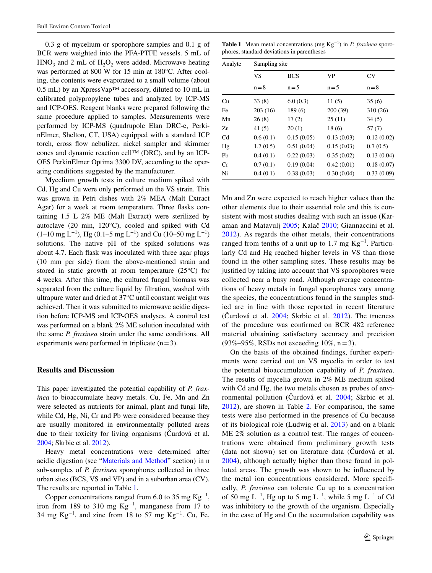0.3 g of mycelium or sporophore samples and 0.1 g of BCR were weighted into the PFA-PTFE vessels. 5 mL of  $HNO<sub>3</sub>$  and 2 mL of  $H<sub>2</sub>O<sub>2</sub>$  were added. Microwave heating was performed at 800 W for 15 min at 180°C. After cooling, the contents were evaporated to a small volume (about  $(0.5 \text{ mL})$  by an XpressVap<sup>TM</sup> accessory, diluted to 10 mL in calibrated polypropylene tubes and analyzed by ICP-MS and ICP-OES. Reagent blanks were prepared following the same procedure applied to samples. Measurements were performed by ICP-MS (quadrupole Elan DRC-e, PerkinElmer, Shelton, CT, USA) equipped with a standard ICP torch, cross flow nebulizer, nickel sampler and skimmer cones and dynamic reaction cell™ (DRC), and by an ICP-OES PerkinElmer Optima 3300 DV, according to the operating conditions suggested by the manufacturer.

Mycelium growth tests in culture medium spiked with Cd, Hg and Cu were only performed on the VS strain. This was grown in Petri dishes with 2% MEA (Malt Extract Agar) for a week at room temperature. Three flasks containing 1.5 L 2% ME (Malt Extract) were sterilized by autoclave (20 min, 120°C), cooled and spiked with Cd  $(1–10 \text{ mg } L^{-1})$ , Hg  $(0.1–5 \text{ mg } L^{-1})$  and Cu  $(10–50 \text{ mg } L^{-1})$ solutions. The native pH of the spiked solutions was about 4.7. Each flask was inoculated with three agar plugs (10 mm per side) from the above-mentioned strain and stored in static growth at room temperature (25°C) for 4 weeks. After this time, the cultured fungal biomass was separated from the culture liquid by filtration, washed with ultrapure water and dried at 37°C until constant weight was achieved. Then it was submitted to microwave acidic digestion before ICP-MS and ICP-OES analyses. A control test was performed on a blank 2% ME solution inoculated with the same *P. fraxinea* strain under the same conditions. All experiments were performed in triplicate  $(n=3)$ .

## **Results and Discussion**

This paper investigated the potential capability of *P. fraxinea* to bioaccumulate heavy metals. Cu, Fe, Mn and Zn were selected as nutrients for animal, plant and fungi life, while Cd, Hg, Ni, Cr and Pb were considered because they are usually monitored in environmentally polluted areas due to their toxicity for living organisms (Čurdová et al. [2004](#page-3-7); Skrbic et al. [2012\)](#page-4-3).

Heavy metal concentrations were determined after acidic digestion (see ["Materials and Method"](#page-1-0) section) in n sub-samples of *P. fraxinea* sporophores collected in three urban sites (BCS, VS and VP) and in a suburban area (CV). The results are reported in Table [1.](#page-2-0)

Copper concentrations ranged from 6.0 to 35 mg  $\text{Kg}^{-1}$ , iron from 189 to 310 mg  $Kg^{-1}$ , manganese from 17 to 34 mg Kg<sup>-1</sup>, and zinc from 18 to 57 mg Kg<sup>-1</sup>. Cu, Fe,

<span id="page-2-0"></span>**Table 1** Mean metal concentrations (mg Kg−1) in *P. fraxinea* sporophores, standard deviations in parentheses

| Analyte        | Sampling site        |                       |               |               |
|----------------|----------------------|-----------------------|---------------|---------------|
|                | <b>VS</b><br>$n = 8$ | <b>BCS</b><br>$n = 5$ | VP<br>$n = 5$ | CV<br>$n = 8$ |
|                |                      |                       |               |               |
| Fe             | 203(16)              | 189(6)                | 200(39)       | 310 (26)      |
| Mn             | 26(8)                | 17(2)                 | 25(11)        | 34(5)         |
| Zn             | 41 $(5)$             | 20(1)                 | 18(6)         | 57(7)         |
| C <sub>d</sub> | 0.6(0.1)             | 0.15(0.05)            | 0.13(0.03)    | 0.12(0.02)    |
| Hg             | 1.7(0.5)             | 0.51(0.04)            | 0.15(0.03)    | 0.7(0.5)      |
| Pb             | 0.4(0.1)             | 0.22(0.03)            | 0.35(0.02)    | 0.13(0.04)    |
| Cr             | 0.7(0.1)             | 0.19(0.04)            | 0.42(0.01)    | 0.18(0.07)    |
| Ni             | 0.4(0.1)             | 0.38(0.03)            | 0.30(0.04)    | 0.33(0.09)    |

Mn and Zn were expected to reach higher values than the other elements due to their essential role and this is consistent with most studies dealing with such an issue (Karaman and Matavulj [2005](#page-3-15); Kalač [2010](#page-3-19); Giannaccini et al. [2012\)](#page-3-20). As regards the other metals, their concentrations ranged from tenths of a unit up to 1.7 mg  $Kg^{-1}$ . Particularly Cd and Hg reached higher levels in VS than those found in the other sampling sites. These results may be justified by taking into account that VS sporophores were collected near a busy road. Although average concentrations of heavy metals in fungal sporophores vary among the species, the concentrations found in the samples studied are in line with those reported in recent literature (Čurdová et al.  $2004$ ; Skrbic et al.  $2012$ ). The trueness of the procedure was confirmed on BCR 482 reference material obtaining satisfactory accuracy and precision (93%–95%, RSDs not exceeding 10%, n=3).

On the basis of the obtained findings, further experiments were carried out on VS mycelia in order to test the potential bioaccumulation capability of *P. fraxinea*. The results of mycelia grown in 2% ME medium spiked with Cd and Hg, the two metals chosen as probes of environmental pollution (Čurdová et al. [2004;](#page-3-7) Skrbic et al. [2012\)](#page-4-3), are shown in Table [2](#page-3-21). For comparison, the same tests were also performed in the presence of Cu because of its biological role (Ludwig et al. [2013](#page-3-22)) and on a blank ME 2% solution as a control test. The ranges of concentrations were obtained from preliminary growth tests (data not shown) set on literature data (Čurdová et al. [2004\)](#page-3-7), although actually higher than those found in polluted areas. The growth was shown to be influenced by the metal ion concentrations considered. More specifically, *P. fraxinea* can tolerate Cu up to a concentration of 50 mg L<sup>-1</sup>, Hg up to 5 mg L<sup>-1</sup>, while 5 mg L<sup>-1</sup> of Cd was inhibitory to the growth of the organism. Especially in the case of Hg and Cu the accumulation capability was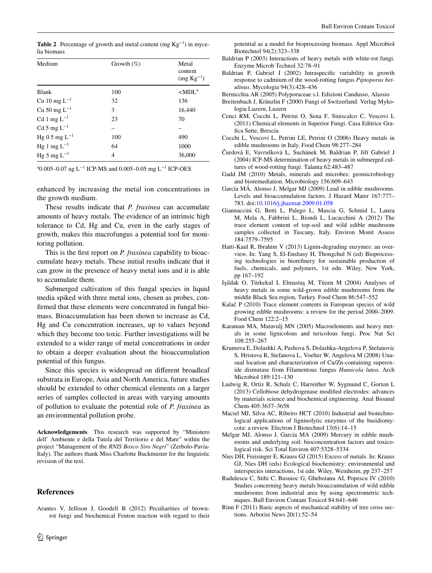<span id="page-3-21"></span>**Table 2** Percentage of growth and metal content (mg  $Kg^{-1}$ ) in mycelia biomass

| Medium             | Growth $(\%)$ | Metal<br>content<br>$(mg Kg^{-1})$ |
|--------------------|---------------|------------------------------------|
| <b>Blank</b>       | 100           | $\langle$ MDL <sup>a</sup>         |
| Cu 10 mg $L^{-1}$  | 32            | 136                                |
| Cu 50 mg $L^{-1}$  | 3             | 16.440                             |
| Cd 1 mg $L^{-1}$   | 23            | 70                                 |
| Cd 5 mg $L^{-1}$   |               |                                    |
| Hg 0.5 mg $L^{-1}$ | 100           | 490                                |
| Hg 1 mg $L^{-1}$   | 64            | 1000                               |
| Hg 5 mg $L^{-1}$   | 4             | 36,000                             |

<sup>a</sup>0.005–0.07 ug L<sup>−1</sup> ICP-MS and 0.005–0.05 mg L<sup>−1</sup> ICP-OES

enhanced by increasing the metal ion concentrations in the growth medium.

These results indicate that *P. fraxinea* can accumulate amounts of heavy metals. The evidence of an intrinsic high tolerance to Cd, Hg and Cu, even in the early stages of growth, makes this macrofungus a potential tool for monitoring pollution.

This is the first report on *P. fraxinea* capability to bioaccumulate heavy metals. These initial results indicate that it can grow in the presence of heavy metal ions and it is able to accumulate them.

Submerged cultivation of this fungal species in liquid media spiked with three metal ions, chosen as probes, confirmed that these elements were concentrated in fungal biomass. Bioaccumulation has been shown to increase as Cd, Hg and Cu concentration increases, up to values beyond which they become too toxic. Further investigations will be extended to a wider range of metal concentrations in order to obtain a deeper evaluation about the bioaccumulation potential of this fungus.

Since this species is widespread on different broadleaf substrata in Europe, Asia and North America, future studies should be extended to other chemical elements on a larger series of samples collected in areas with varying amounts of pollution to evaluate the potential role of *P. fraxinea* as an environmental pollution probe.

**Acknowledgements** This research was supported by "Ministero dell' Ambiente e della Tutela del Territorio e del Mare" within the project "Management of the *RNIS Bosco Siro Negri*" (Zerbolo-Pavia-Italy). The authors thank Miss Charlotte Buckmuster for the linguistic revision of the text.

## **References**

potential as a model for bioprocessing biomass. Appl Microbiol Biotechnol 94(2):323–338

- <span id="page-3-14"></span>Baldrian P (2003) Interactions of heavy metals with white-rot fungi. Enzyme Microb Technol 32:78–91
- <span id="page-3-12"></span>Baldrian P, Gabriel J (2002) Intraspecific variability in growth response to cadmium of the wood-rotting fungus *Piptoporus betulinus*. Mycologia 94(3):428–436
- <span id="page-3-17"></span>Bernicchia AR (2005) Polyporaceae s.l. Edizioni Candusso, Alassio
- <span id="page-3-18"></span>Breitenbach J, Kränzlin F (2000) Fungi of Switzerland. Verlag Mykologia Luzern, Luzern
- <span id="page-3-11"></span>Cenci RM, Cocchi L, Petrini O, Sena F, Siniscalco C, Vescovi L (2011) Chemical elements in Superior Fungi. Casa Editrice Grafica Sette, Brescia
- <span id="page-3-9"></span>Cocchi L, Vescovi L, Petrini LE, Petrini O (2006) Heavy metals in edible mushrooms in Italy. Food Chem 98:277–284
- <span id="page-3-7"></span>Čurdová E, Vavrušková L, Suchánek M, Baldrian P, Jiří Gabriel J (2004) ICP-MS determination of heavy metals in submerged cultures of wood-rotting fungi. Talanta 62:483–487
- <span id="page-3-13"></span>Gadd JM (2010) Metals, minerals and microbes: geomicrobiology and bioremediation. Microbiology 156:609–643
- <span id="page-3-10"></span>García MÁ, Alonso J, Melgar MJ (2009) Lead in edible mushrooms. Levels and bioaccumulation factors. J Hazard Mater 167:777– 783. doi[:10.1016/j.jhazmat.2009.01.058](http://dx.doi.org/10.1016/j.jhazmat.2009.01.058)
- <span id="page-3-20"></span>Giannaccini G, Betti L, Palego L, Mascia G, Schmid L, Lanza M, Mela A, Fabbrini L, Biondi L, Lucacchini A (2012) The trace element content of top-soil and wild edible mushroom samples collected in Tuscany, Italy. Environ Monit Assess 184:7579–7595
- <span id="page-3-5"></span>Hatti-Kaul R, Ibrahim V (2013) Lignin-degrading enzymes: an overview. In: Yang S, El-Enshasy H, Thongchul N (ed) Bioprocessing technologies in biorefinery for sustainable production of fuels, chemicals, and polymers, 1st edn. Wiley, New York, pp 167–192
- <span id="page-3-8"></span>Işildak O, Türkekul I, Elmastaş M, Tüzen M (2004) Analyses of heavy metals in some wild-grown edible mushrooms from the middle Black Sea region, Turkey. Food Chem 86:547–552
- <span id="page-3-19"></span>Kalač P (2010) Trace element contents in European species of wild growing edible mushrooms: a review for the period 2000–2009. Food Chem 122:2–15
- <span id="page-3-15"></span>Karaman MA, Matavulj MN (2005) Macroelements and heavy metals in some lignicolous and tericolous fungi. Proc Nat Sci 108:255–267
- <span id="page-3-6"></span>Krumova E, Dolashki A, Pashova S, Dolashka-Angelova P, Stefanovic S, Hristova R, Stefanova L, Voelter W, Angelova M (2008) Unusual location and characterization of Cu/Zn-containing superoxide dismutase from Filamentous fungus *Humicola lutea*. Arch Microbiol 189:121–130
- <span id="page-3-22"></span>Ludwig R, Ortiz R, Schulz C, Harreither W, Sygmund C, Gorton L (2013) Cellobiose dehydrogenase modified electrodes: advances by materials science and biochemical engineering. Anal Bioanal Chem 405:3637–3658
- <span id="page-3-2"></span>Maciel MJ, Silva AC, Ribeiro HCT (2010) Industrial and biotechnological applications of ligninolytic enzymes of the basidiomycota: a review. Electron J Biotechnol 13(6):14–15
- <span id="page-3-0"></span>Melgar MJ, Alonso J, García MA (2009) Mercury in edible mushrooms and underlying soil: bioconcentration factors and toxicological risk. Sci Total Environ 407:5328–5334
- <span id="page-3-16"></span>Nies DH, Freisinger E, Krauss GJ (2015) Excess of metals. In: Krauss GJ, Nies DH (eds) Ecological biochemistry: environmental and interspecies interactions, 1st edn. Wiley, Weinheim, pp 237–257
- <span id="page-3-3"></span><span id="page-3-1"></span>Radulescu C, Stihi C, Busuioc G, Gheboianu AI, Popescu IV (2010) Studies concerning heavy metals bioaccumulation of wild edible mushrooms from industrial area by using spectrometric techniques. Bull Environ Contam Toxicol 84:641–646
- <span id="page-3-4"></span>Arantes V, Jellison J, Goodell B (2012) Peculiarities of brownrot fungi and biochemical Fenton reaction with regard to their Rinn F (2011) Basic aspects of mechanical stability of tree cross sections. Arborist News 20(1):52–54